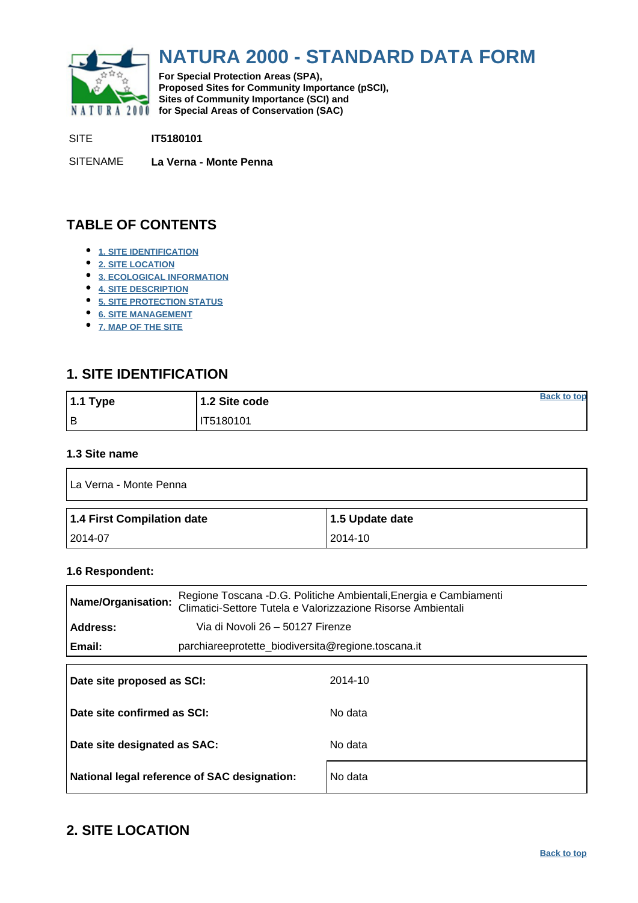<span id="page-0-0"></span>

# **NATURA 2000 - STANDARD DATA FORM**

**For Special Protection Areas (SPA), Proposed Sites for Community Importance (pSCI), Sites of Community Importance (SCI) and NATURA 2000** for Special Areas of Conservation (SAC)

SITE **IT5180101**

SITENAME **La Verna - Monte Penna**

## **TABLE OF CONTENTS**

- **[1. SITE IDENTIFICATION](#page-0-1)**
- **[2. SITE LOCATION](#page-0-2)**
- **[3. ECOLOGICAL INFORMATION](#page-1-0)**
- **[4. SITE DESCRIPTION](#page-5-0)**
- **[5. SITE PROTECTION STATUS](#page-5-1)**
- **[6. SITE MANAGEMENT](#page-6-0)**
- **[7. MAP OF THE SITE](#page-6-1)**

### <span id="page-0-1"></span>**1. SITE IDENTIFICATION**

| $1.1$ Type | 1.2 Site code | <b>Back to top</b> |
|------------|---------------|--------------------|
| l B        | IT5180101     |                    |

#### **1.3 Site name**

| La Verna - Monte Penna     |                 |  |  |  |  |  |
|----------------------------|-----------------|--|--|--|--|--|
| 1.4 First Compilation date | 1.5 Update date |  |  |  |  |  |
| 2014-07                    | 2014-10         |  |  |  |  |  |

#### **1.6 Respondent:**

| Regione Toscana -D.G. Politiche Ambientali, Energia e Cambiamenti<br><b>Name/Organisation:</b><br>Climatici-Settore Tutela e Valorizzazione Risorse Ambientali |                                                    |         |  |  |  |
|----------------------------------------------------------------------------------------------------------------------------------------------------------------|----------------------------------------------------|---------|--|--|--|
| Address:                                                                                                                                                       | Via di Novoli 26 - 50127 Firenze                   |         |  |  |  |
| Email:                                                                                                                                                         | parchiareeprotette biodiversita@regione.toscana.it |         |  |  |  |
|                                                                                                                                                                |                                                    |         |  |  |  |
| Date site proposed as SCI:                                                                                                                                     |                                                    | 2014-10 |  |  |  |
| Date site confirmed as SCI:                                                                                                                                    |                                                    | No data |  |  |  |
|                                                                                                                                                                |                                                    |         |  |  |  |
| Date site designated as SAC:                                                                                                                                   |                                                    | No data |  |  |  |
|                                                                                                                                                                | National legal reference of SAC designation:       | No data |  |  |  |

### <span id="page-0-2"></span>**2. SITE LOCATION**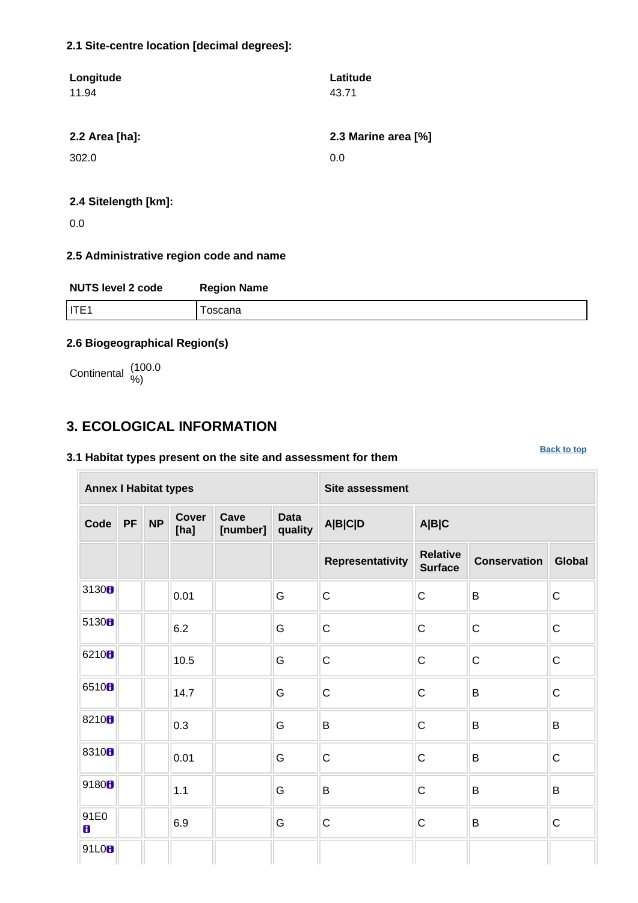#### **2.1 Site-centre location [decimal degrees]:**

| Longitude      | Latitude            |
|----------------|---------------------|
| 11.94          | 43.71               |
|                |                     |
| 2.2 Area [ha]: | 2.3 Marine area [%] |
| 302.0          | 0.0                 |
|                |                     |
|                |                     |

#### **2.4 Sitelength [km]:**

0.0

#### **2.5 Administrative region code and name**

| <b>NUTS level 2 code</b> | <b>Region Name</b> |
|--------------------------|--------------------|
| IITE1                    | oscana             |

#### **2.6 Biogeographical Region(s)**

Continental (100.0

### <span id="page-1-0"></span>**3. ECOLOGICAL INFORMATION**

#### **3.1 Habitat types present on the site and assessment for them**

**Annex I Habitat types Site assessment Code PF NP Cover [ha] Cave [number] Data quality A|B|C|D A|B|C Representativity Relative Surface Conservation Global** 3130 **b**  $\begin{array}{|c|c|c|c|c|c|}\n\hline\n\text{.} & \text{.} & \text{.} & \text{.} & \text{.} & \text{.} & \text{.} & \text{.} & \text{.} & \text{.} & \text{.} & \text{.} & \text{.} & \text{.} & \text{.} & \text{.} & \text{.} & \text{.} & \text{.} & \text{.} & \text{.} & \text{.} & \text{.} & \text{.} & \text{.} & \text{.} & \text{.} & \text{.} & \text{.} & \text{.} & \text{.} & \$ <sup>5130</sup> 6.2 G C C C C <sup>6210</sup> 10.5 G C C C C 6510 **1** 14.7 G C C B C 8210 **b**  $\begin{array}{|c|c|c|c|c|c|}\n\hline\n\text{8} & \text{8} & \text{8} \\
\hline\n\end{array}$  **b**  $\begin{array}{|c|c|c|c|c|}\n\hline\n\text{8} & \text{8} & \text{8} \\
\hline\n\end{array}$ 8310 **b**  $\begin{array}{|c|c|c|c|c|}\n\hline\n\text{8310} \text{B} & \text{0.01} & \text{G} & \text{G} & \text{C} & \text{B} & \text{C} \end{array}$ 9180 **1.**  $\begin{array}{|c|c|c|c|c|}\n\hline\n\end{array}$  (G B G B B B 91E0 6.9 G C C B C 91L0<sub>B</sub>

**[Back to top](#page-0-0)**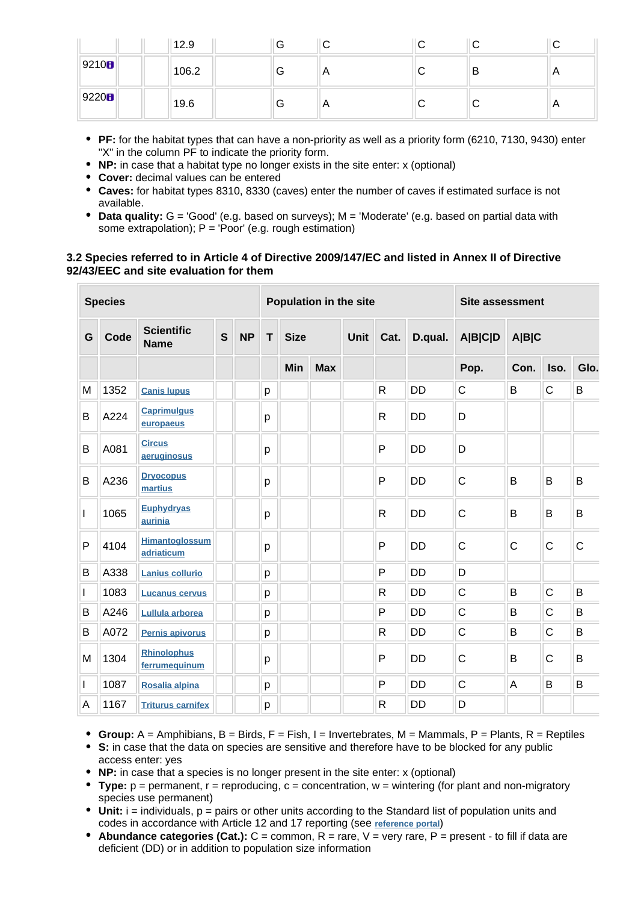|                   | 12.9  | v |                | ັ | ` |                |
|-------------------|-------|---|----------------|---|---|----------------|
| 9210 <sub>B</sub> | 106.2 | G | $\mathsf{A}$   | ັ | в | $\overline{A}$ |
| 9220 <sub>0</sub> | 19.6  | G | $\overline{A}$ | ັ | ╰ | $\overline{A}$ |

- **PF:** for the habitat types that can have a non-priority as well as a priority form (6210, 7130, 9430) enter "X" in the column PF to indicate the priority form.
- **NP:** in case that a habitat type no longer exists in the site enter: x (optional)
- **Cover:** decimal values can be entered
- **Caves:** for habitat types 8310, 8330 (caves) enter the number of caves if estimated surface is not available.
- **Data quality:** G = 'Good' (e.g. based on surveys); M = 'Moderate' (e.g. based on partial data with some extrapolation);  $P = 'Poor'$  (e.g. rough estimation)

#### **3.2 Species referred to in Article 4 of Directive 2009/147/EC and listed in Annex II of Directive 92/43/EEC and site evaluation for them**

| <b>Species</b> |      |                                     |   | Population in the site |   |             |            |             | <b>Site assessment</b> |           |              |       |              |             |
|----------------|------|-------------------------------------|---|------------------------|---|-------------|------------|-------------|------------------------|-----------|--------------|-------|--------------|-------------|
| G              | Code | <b>Scientific</b><br><b>Name</b>    | S | <b>NP</b>              | T | <b>Size</b> |            | <b>Unit</b> | Cat.                   | D.qual.   | A B C D      | A B C |              |             |
|                |      |                                     |   |                        |   | Min         | <b>Max</b> |             |                        |           | Pop.         | Con.  | Iso.         | Glo.        |
| M              | 1352 | <b>Canis lupus</b>                  |   |                        | р |             |            |             | R                      | <b>DD</b> | $\mathsf{C}$ | B     | $\mathsf{C}$ | B           |
| B              | A224 | <b>Caprimulgus</b><br>europaeus     |   |                        | p |             |            |             | $\mathsf{R}$           | <b>DD</b> | D            |       |              |             |
| B              | A081 | <b>Circus</b><br>aeruginosus        |   |                        | p |             |            |             | P                      | <b>DD</b> | D            |       |              |             |
| B              | A236 | <b>Dryocopus</b><br>martius         |   |                        | p |             |            |             | P                      | <b>DD</b> | $\mathsf{C}$ | B     | B            | B           |
| I              | 1065 | <b>Euphydryas</b><br>aurinia        |   |                        | p |             |            |             | $\mathsf{R}$           | <b>DD</b> | $\mathsf{C}$ | B     | B            | B           |
| P              | 4104 | <b>Himantoglossum</b><br>adriaticum |   |                        | p |             |            |             | P                      | <b>DD</b> | $\mathsf{C}$ | C     | $\mathsf{C}$ | $\mathsf C$ |
| B              | A338 | <b>Lanius collurio</b>              |   |                        | p |             |            |             | P                      | <b>DD</b> | D            |       |              |             |
| L              | 1083 | <b>Lucanus cervus</b>               |   |                        | p |             |            |             | $\mathsf{R}$           | <b>DD</b> | $\mathsf{C}$ | B     | $\mathsf{C}$ | B           |
| B              | A246 | Lullula arborea                     |   |                        | p |             |            |             | P                      | <b>DD</b> | $\mathsf{C}$ | B     | $\mathsf{C}$ | B           |
| B              | A072 | Pernis apivorus                     |   |                        | p |             |            |             | $\mathsf{R}$           | <b>DD</b> | $\mathsf{C}$ | B     | $\mathsf{C}$ | B           |
| M              | 1304 | <b>Rhinolophus</b><br>ferrumequinum |   |                        | p |             |            |             | P                      | <b>DD</b> | $\mathsf{C}$ | B     | $\mathsf{C}$ | B           |
| L              | 1087 | Rosalia alpina                      |   |                        | p |             |            |             | P                      | <b>DD</b> | $\mathsf{C}$ | A     | B            | B           |
| A              | 1167 | <b>Triturus carnifex</b>            |   |                        | p |             |            |             | $\mathsf{R}$           | <b>DD</b> | D            |       |              |             |

- **Group:**  $A =$  Amphibians,  $B =$  Birds,  $F =$  Fish,  $I =$  Invertebrates,  $M =$  Mammals,  $P =$  Plants,  $R =$  Reptiles
- **S:** in case that the data on species are sensitive and therefore have to be blocked for any public access enter: yes
- **NP:** in case that a species is no longer present in the site enter: x (optional)
- **Type:** p = permanent, r = reproducing, c = concentration, w = wintering (for plant and non-migratory species use permanent)
- Unit: i = individuals, p = pairs or other units according to the Standard list of population units and codes in accordance with Article 12 and 17 reporting (see **[reference portal](http://bd.eionet.europa.eu/activities/Natura_2000/reference_portal)**)
- $\bullet$  **Abundance categories (Cat.):**  $C =$  common,  $R =$  rare,  $V =$  very rare,  $P =$  present to fill if data are deficient (DD) or in addition to population size information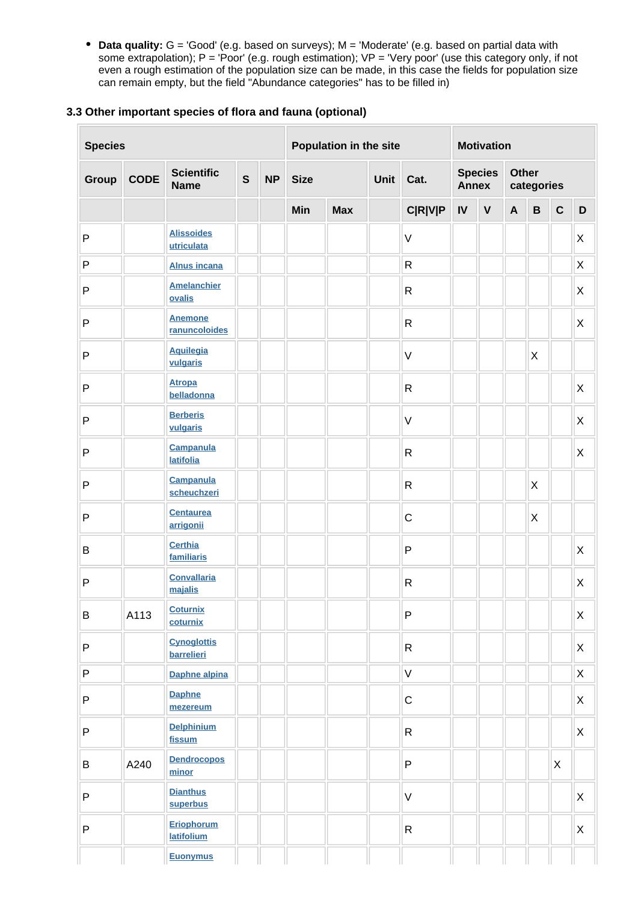**Data quality:** G = 'Good' (e.g. based on surveys); M = 'Moderate' (e.g. based on partial data with some extrapolation);  $P = 'Poor'$  (e.g. rough estimation);  $VP = 'Very$  poor' (use this category only, if not even a rough estimation of the population size can be made, in this case the fields for population size can remain empty, but the field "Abundance categories" has to be filled in)

#### **3.3 Other important species of flora and fauna (optional)**

| <b>Species</b> |             |                                      |              | Population in the site |                             |            | <b>Motivation</b> |                |    |                                              |                           |              |              |              |
|----------------|-------------|--------------------------------------|--------------|------------------------|-----------------------------|------------|-------------------|----------------|----|----------------------------------------------|---------------------------|--------------|--------------|--------------|
| Group          | <b>CODE</b> | <b>Scientific</b><br><b>Name</b>     | $\mathbf{s}$ | <b>NP</b>              | <b>Size</b><br>Unit<br>Cat. |            |                   | <b>Annex</b>   |    | <b>Other</b><br><b>Species</b><br>categories |                           |              |              |              |
|                |             |                                      |              |                        | Min                         | <b>Max</b> |                   | <b>C R V P</b> | IV | $\pmb{\mathsf{V}}$                           | $\boldsymbol{\mathsf{A}}$ | $\, {\bf B}$ | $\mathbf{C}$ | D            |
| $\mathsf{P}$   |             | <b>Alissoides</b><br>utriculata      |              |                        |                             |            |                   | $\vee$         |    |                                              |                           |              |              | X            |
| $\sf P$        |             | <b>Alnus incana</b>                  |              |                        |                             |            |                   | $\mathsf{R}$   |    |                                              |                           |              |              | X            |
| $\mathsf{P}$   |             | <b>Amelanchier</b><br>ovalis         |              |                        |                             |            |                   | $\mathsf{R}$   |    |                                              |                           |              |              | $\mathsf{X}$ |
| $\mathsf{P}$   |             | <b>Anemone</b><br>ranuncoloides      |              |                        |                             |            |                   | $\mathsf R$    |    |                                              |                           |              |              | X            |
| $\mathsf{P}$   |             | <b>Aquilegia</b><br>vulgaris         |              |                        |                             |            |                   | $\vee$         |    |                                              |                           | X            |              |              |
| $\mathsf{P}$   |             | <b>Atropa</b><br>belladonna          |              |                        |                             |            |                   | ${\sf R}$      |    |                                              |                           |              |              | X            |
| $\mathsf{P}$   |             | <b>Berberis</b><br>vulgaris          |              |                        |                             |            |                   | $\vee$         |    |                                              |                           |              |              | X            |
| $\mathsf{P}$   |             | <b>Campanula</b><br><b>latifolia</b> |              |                        |                             |            |                   | $\mathsf R$    |    |                                              |                           |              |              | $\mathsf{X}$ |
| P              |             | <b>Campanula</b><br>scheuchzeri      |              |                        |                             |            |                   | $\mathsf{R}$   |    |                                              |                           | X            |              |              |
| ${\sf P}$      |             | <b>Centaurea</b><br>arrigonii        |              |                        |                             |            |                   | $\mathsf C$    |    |                                              |                           | X            |              |              |
| $\mathsf B$    |             | <b>Certhia</b><br>familiaris         |              |                        |                             |            |                   | $\mathsf{P}$   |    |                                              |                           |              |              | $\mathsf{X}$ |
| $\mathsf{P}$   |             | <b>Convallaria</b><br>majalis        |              |                        |                             |            |                   | ${\sf R}$      |    |                                              |                           |              |              | $\mathsf{X}$ |
| B              | A113        | <b>Coturnix</b><br>coturnix          |              |                        |                             |            |                   | P              |    |                                              |                           |              |              | X            |
| $\sf P$        |             | <b>Cynoglottis</b><br>barrelieri     |              |                        |                             |            |                   | $\mathsf{R}$   |    |                                              |                           |              |              | $\mathsf{X}$ |
| $\mathsf{P}$   |             | Daphne alpina                        |              |                        |                             |            |                   | $\mathsf V$    |    |                                              |                           |              |              | X            |
| $\sf P$        |             | <b>Daphne</b><br>mezereum            |              |                        |                             |            |                   | $\mathsf C$    |    |                                              |                           |              |              | X            |
| $\sf P$        |             | <b>Delphinium</b><br>fissum          |              |                        |                             |            |                   | ${\sf R}$      |    |                                              |                           |              |              | $\mathsf X$  |
| B              | A240        | <b>Dendrocopos</b><br>minor          |              |                        |                             |            |                   | P              |    |                                              |                           |              | $\mathsf{X}$ |              |
| $\sf P$        |             | <b>Dianthus</b><br>superbus          |              |                        |                             |            |                   | $\vee$         |    |                                              |                           |              |              | $\mathsf X$  |
| $\sf P$        |             | Eriophorum<br>latifolium             |              |                        |                             |            |                   | $\mathsf{R}$   |    |                                              |                           |              |              | $\mathsf X$  |
|                |             | <b>Euonymus</b>                      |              |                        |                             |            |                   |                |    |                                              |                           |              |              |              |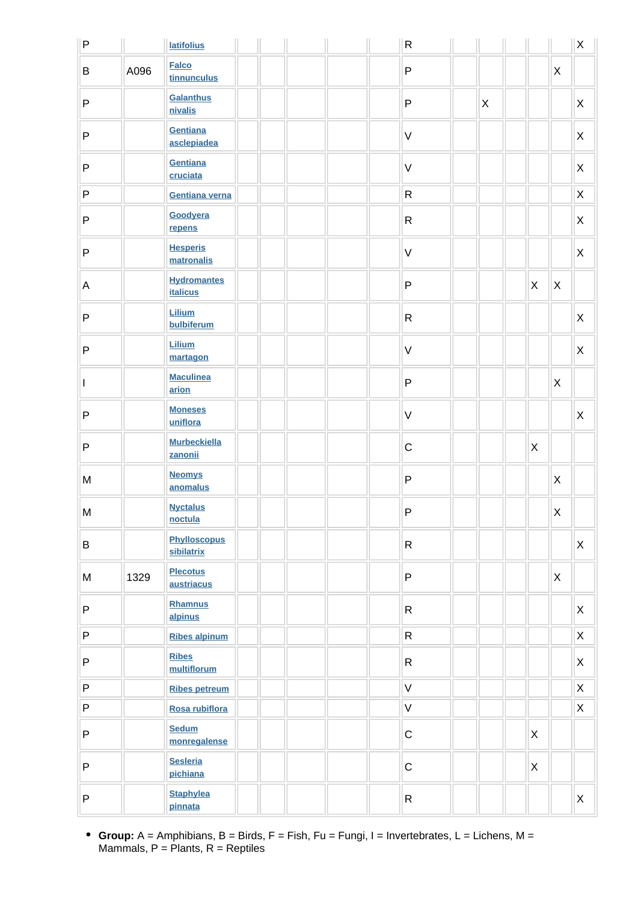| P            |      | <b>latifolius</b>                     |  | $\mathsf{R}$ |             |                           |                           | $\mathsf X$    |
|--------------|------|---------------------------------------|--|--------------|-------------|---------------------------|---------------------------|----------------|
| B            | A096 | <b>Falco</b><br>tinnunculus           |  | $\mathsf{P}$ |             |                           | X                         |                |
| P            |      | Galanthus<br>nivalis                  |  | $\sf P$      | $\mathsf X$ |                           |                           | X              |
| P            |      | Gentiana<br>asclepiadea               |  | $\mathsf V$  |             |                           |                           | X              |
| P            |      | Gentiana<br>cruciata                  |  | $\vee$       |             |                           |                           | X              |
| P            |      | Gentiana verna                        |  | ${\sf R}$    |             |                           |                           | X              |
| P            |      | Goodyera<br>repens                    |  | $\mathsf{R}$ |             |                           |                           | X              |
| P            |      | <b>Hesperis</b><br>matronalis         |  | $\vee$       |             |                           |                           | $\pmb{\times}$ |
| A            |      | <b>Hydromantes</b><br><b>italicus</b> |  | $\sf P$      |             | $\mathsf X$               | X                         |                |
| P            |      | Lilium<br>bulbiferum                  |  | $\mathsf{R}$ |             |                           |                           | X              |
| $\mathsf{P}$ |      | Lilium<br>martagon                    |  | $\vee$       |             |                           |                           | $\pmb{\times}$ |
| I            |      | <b>Maculinea</b><br>arion             |  | $\sf P$      |             |                           | $\mathsf{X}$              |                |
| P            |      | <b>Moneses</b><br>uniflora            |  | $\vee$       |             |                           |                           | X              |
| P            |      | <b>Murbeckiella</b><br>zanonii        |  | $\mathsf C$  |             | $\mathsf X$               |                           |                |
| M            |      | <b>Neomys</b><br>anomalus             |  | $\mathsf{P}$ |             |                           | $\mathsf{X}$              |                |
| M            |      | <b>Nyctalus</b><br>noctula            |  | P            |             |                           | $\boldsymbol{\mathsf{X}}$ |                |
| B            |      | <b>Phylloscopus</b><br>sibilatrix     |  | $\mathsf{R}$ |             |                           |                           | $\pmb{\times}$ |
| M            | 1329 | <b>Plecotus</b><br>austriacus         |  | P            |             |                           | $\mathsf{X}$              |                |
| P            |      | Rhamnus<br>alpinus                    |  | $\mathsf{R}$ |             |                           |                           | $\mathsf X$    |
| P            |      | <b>Ribes alpinum</b>                  |  | $\mathsf{R}$ |             |                           |                           | $\mathsf X$    |
| P            |      | <b>Ribes</b><br>multiflorum           |  | $\mathsf{R}$ |             |                           |                           | $\mathsf X$    |
| P            |      | <b>Ribes petreum</b>                  |  | $\vee$       |             |                           |                           | $\pmb{\times}$ |
| P            |      | Rosa rubiflora                        |  | $\vee$       |             |                           |                           | $\mathsf X$    |
| P            |      | <b>Sedum</b><br>monregalense          |  | $\mathsf C$  |             | $\mathsf{X}$              |                           |                |
| P            |      | <b>Sesleria</b><br>pichiana           |  | $\mathsf C$  |             | $\boldsymbol{\mathsf{X}}$ |                           |                |
| P            |      | <b>Staphylea</b><br>pinnata           |  | $\mathsf{R}$ |             |                           |                           | X              |

**Group:** A = Amphibians, B = Birds, F = Fish, Fu = Fungi, I = Invertebrates, L = Lichens, M = Mammals,  $P =$  Plants,  $R =$  Reptiles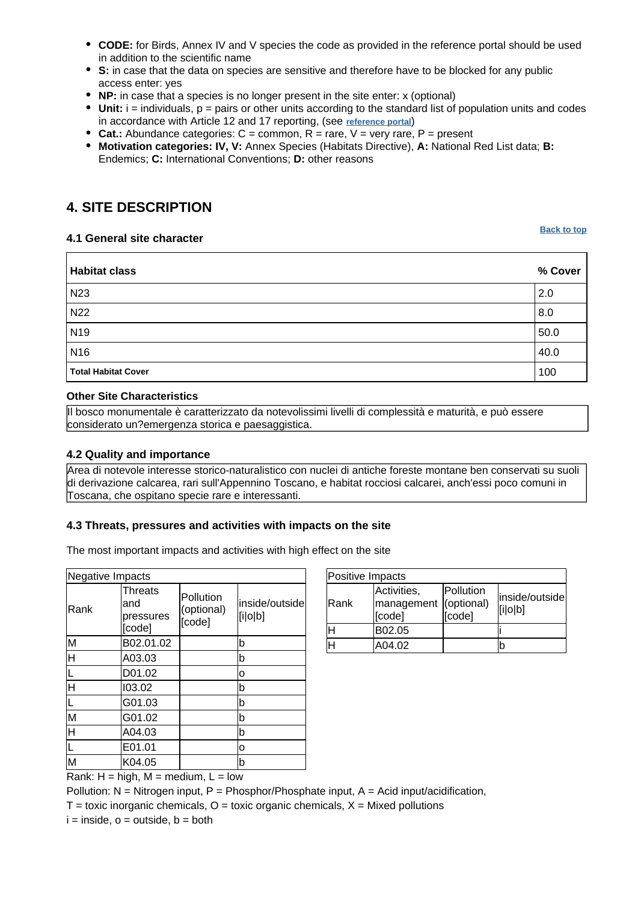- **CODE:** for Birds, Annex IV and V species the code as provided in the reference portal should be used in addition to the scientific name
- **S:** in case that the data on species are sensitive and therefore have to be blocked for any public access enter: yes
- **NP:** in case that a species is no longer present in the site enter: x (optional)
- $\bullet$  Unit:  $i =$  individuals,  $p =$  pairs or other units according to the standard list of population units and codes in accordance with Article 12 and 17 reporting, (see **[reference portal](http://bd.eionet.europa.eu/activities/Natura_2000/reference_portal)**)
- **Cat.:** Abundance categories: C = common, R = rare, V = very rare, P = present
- **Motivation categories: IV, V:** Annex Species (Habitats Directive), **A:** National Red List data; **B:** Endemics; **C:** International Conventions; **D:** other reasons

# <span id="page-5-0"></span>**4. SITE DESCRIPTION**

#### **4.1 General site character**

**[Back to top](#page-0-0)**

| <b>Habitat class</b>       | % Cover |
|----------------------------|---------|
| <b>N23</b>                 | 2.0     |
| N22                        | 8.0     |
| N <sub>19</sub>            | 50.0    |
| N <sub>16</sub>            | 40.0    |
| <b>Total Habitat Cover</b> | 100     |

#### **Other Site Characteristics**

Il bosco monumentale è caratterizzato da notevolissimi livelli di complessità e maturità, e può essere considerato un?emergenza storica e paesaggistica.

#### **4.2 Quality and importance**

Area di notevole interesse storico-naturalistico con nuclei di antiche foreste montane ben conservati su suoli di derivazione calcarea, rari sull'Appennino Toscano, e habitat rocciosi calcarei, anch'essi poco comuni in Toscana, che ospitano specie rare e interessanti.

#### **4.3 Threats, pressures and activities with impacts on the site**

The most important impacts and activities with high effect on the site

| Negative Impacts   |                                        |                                   |                           |  |  |  |  |  |
|--------------------|----------------------------------------|-----------------------------------|---------------------------|--|--|--|--|--|
| Rank               | Threats<br>land<br>pressures<br>[code] | Pollution<br>(optional)<br>[code] | inside/outside<br>[i o b] |  |  |  |  |  |
| M                  | B02.01.02                              |                                   | b                         |  |  |  |  |  |
| lн                 | A03.03                                 |                                   | b                         |  |  |  |  |  |
|                    | D01.02                                 |                                   | о                         |  |  |  |  |  |
| H                  | 103.02                                 |                                   | b                         |  |  |  |  |  |
|                    | G01.03                                 |                                   | b                         |  |  |  |  |  |
| M                  | G01.02                                 |                                   | b                         |  |  |  |  |  |
| $\overline{\sf H}$ | A04.03                                 |                                   | b                         |  |  |  |  |  |
|                    | E01.01                                 |                                   | о                         |  |  |  |  |  |
| M                  | K04.05                                 |                                   | b                         |  |  |  |  |  |

| Positive Impacts |                                                |                     |                           |  |  |  |  |  |
|------------------|------------------------------------------------|---------------------|---------------------------|--|--|--|--|--|
| Rank             | Activities,<br>management (optional)<br>[code] | Pollution<br>[code] | inside/outside<br>[i o b] |  |  |  |  |  |
| lн               | B02.05                                         |                     |                           |  |  |  |  |  |
| lн               | A04.02                                         |                     | b                         |  |  |  |  |  |

Rank:  $H = high$ ,  $M = medium$ ,  $L = low$ 

Pollution:  $N =$  Nitrogen input, P = Phosphor/Phosphate input, A = Acid input/acidification,

 $T =$  toxic inorganic chemicals,  $Q =$  toxic organic chemicals,  $X =$  Mixed pollutions

<span id="page-5-1"></span> $i =$  inside,  $o =$  outside,  $b =$  both